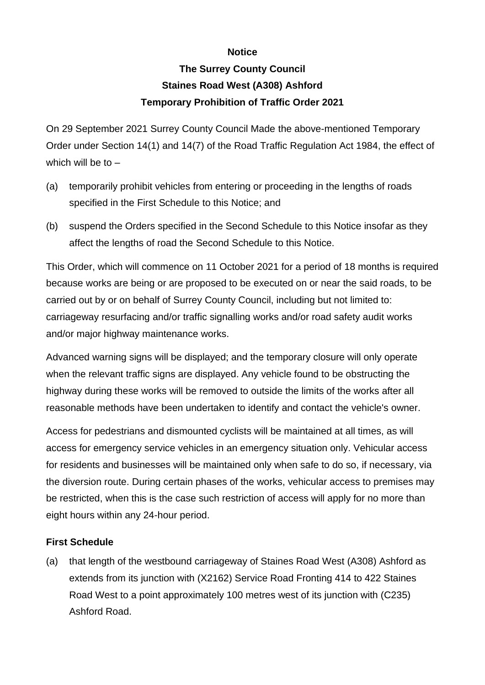## **Notice**

## **The Surrey County Council Staines Road West (A308) Ashford Temporary Prohibition of Traffic Order 2021**

On 29 September 2021 Surrey County Council Made the above-mentioned Temporary Order under Section 14(1) and 14(7) of the Road Traffic Regulation Act 1984, the effect of which will be to  $-$ 

- (a) temporarily prohibit vehicles from entering or proceeding in the lengths of roads specified in the First Schedule to this Notice; and
- (b) suspend the Orders specified in the Second Schedule to this Notice insofar as they affect the lengths of road the Second Schedule to this Notice.

This Order, which will commence on 11 October 2021 for a period of 18 months is required because works are being or are proposed to be executed on or near the said roads, to be carried out by or on behalf of Surrey County Council, including but not limited to: carriageway resurfacing and/or traffic signalling works and/or road safety audit works and/or major highway maintenance works.

Advanced warning signs will be displayed; and the temporary closure will only operate when the relevant traffic signs are displayed. Any vehicle found to be obstructing the highway during these works will be removed to outside the limits of the works after all reasonable methods have been undertaken to identify and contact the vehicle's owner.

Access for pedestrians and dismounted cyclists will be maintained at all times, as will access for emergency service vehicles in an emergency situation only. Vehicular access for residents and businesses will be maintained only when safe to do so, if necessary, via the diversion route. During certain phases of the works, vehicular access to premises may be restricted, when this is the case such restriction of access will apply for no more than eight hours within any 24-hour period.

## **First Schedule**

(a) that length of the westbound carriageway of Staines Road West (A308) Ashford as extends from its junction with (X2162) Service Road Fronting 414 to 422 Staines Road West to a point approximately 100 metres west of its junction with (C235) Ashford Road.